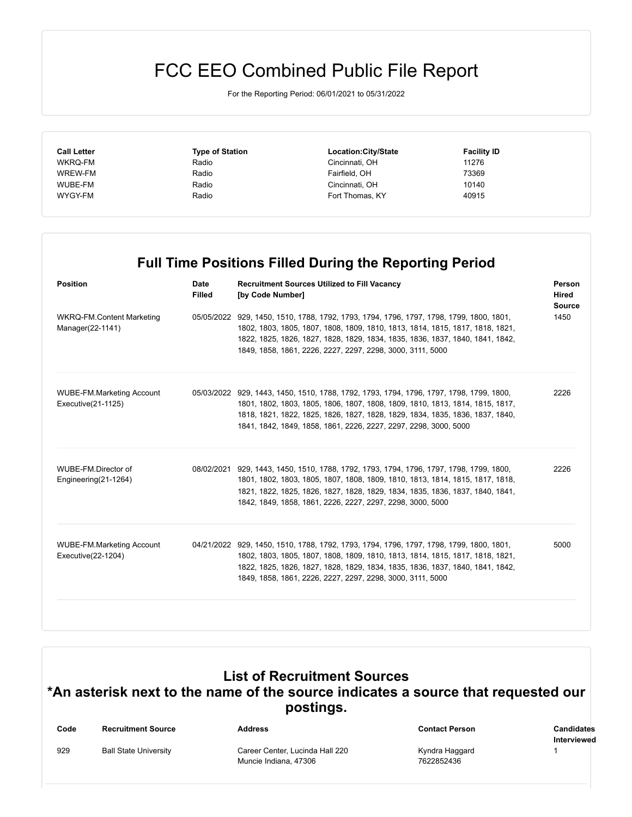## FCC EEO Combined Public File Report

For the Reporting Period: 06/01/2021 to 05/31/2022

| <b>Call Letter</b> | <b>Type of Station</b> | Location:City/State | <b>Facility ID</b> |
|--------------------|------------------------|---------------------|--------------------|
| WKRQ-FM            | Radio                  | Cincinnati, OH      | 11276              |
| WREW-FM            | Radio                  | Fairfield, OH       | 73369              |
| WUBE-FM            | Radio                  | Cincinnati, OH      | 10140              |
| WYGY-FM            | Radio                  | Fort Thomas, KY     | 40915              |
|                    |                        |                     |                    |

## **Full Time Positions Filled During the Reporting Period**

| <b>Position</b>                                        | <b>Date</b><br><b>Filled</b> | <b>Recruitment Sources Utilized to Fill Vacancy</b><br>[by Code Number]                                                                                                                                                                                                                                                       | Person<br>Hired<br><b>Source</b><br>1450 |
|--------------------------------------------------------|------------------------------|-------------------------------------------------------------------------------------------------------------------------------------------------------------------------------------------------------------------------------------------------------------------------------------------------------------------------------|------------------------------------------|
| WKRQ-FM.Content Marketing<br>Manager(22-1141)          |                              | 05/05/2022 929, 1450, 1510, 1788, 1792, 1793, 1794, 1796, 1797, 1798, 1799, 1800, 1801,<br>1802, 1803, 1805, 1807, 1808, 1809, 1810, 1813, 1814, 1815, 1817, 1818, 1821,<br>1822, 1825, 1826, 1827, 1828, 1829, 1834, 1835, 1836, 1837, 1840, 1841, 1842,<br>1849, 1858, 1861, 2226, 2227, 2297, 2298, 3000, 3111, 5000       |                                          |
| <b>WUBE-FM.Marketing Account</b><br>Executive(21-1125) |                              | 05/03/2022 929, 1443, 1450, 1510, 1788, 1792, 1793, 1794, 1796, 1797, 1798, 1799, 1800,<br>1801, 1802, 1803, 1805, 1806, 1807, 1808, 1809, 1810, 1813, 1814, 1815, 1817,<br>1818, 1821, 1822, 1825, 1826, 1827, 1828, 1829, 1834, 1835, 1836, 1837, 1840,<br>1841, 1842, 1849, 1858, 1861, 2226, 2227, 2297, 2298, 3000, 5000 | 2226                                     |
| WUBE-FM.Director of<br>Engineering(21-1264)            |                              | 08/02/2021 929, 1443, 1450, 1510, 1788, 1792, 1793, 1794, 1796, 1797, 1798, 1799, 1800,<br>1801, 1802, 1803, 1805, 1807, 1808, 1809, 1810, 1813, 1814, 1815, 1817, 1818,<br>1821, 1822, 1825, 1826, 1827, 1828, 1829, 1834, 1835, 1836, 1837, 1840, 1841,<br>1842, 1849, 1858, 1861, 2226, 2227, 2297, 2298, 3000, 5000       | 2226                                     |
| <b>WUBE-FM.Marketing Account</b><br>Executive(22-1204) |                              | 04/21/2022 929, 1450, 1510, 1788, 1792, 1793, 1794, 1796, 1797, 1798, 1799, 1800, 1801,<br>1802, 1803, 1805, 1807, 1808, 1809, 1810, 1813, 1814, 1815, 1817, 1818, 1821,<br>1822, 1825, 1826, 1827, 1828, 1829, 1834, 1835, 1836, 1837, 1840, 1841, 1842,<br>1849, 1858, 1861, 2226, 2227, 2297, 2298, 3000, 3111, 5000       | 5000                                     |

## **List of Recruitment Sources \*An asterisk next to the name of the source indicates a source that requested our postings.**

| Code | <b>Recruitment Source</b>    | <b>Address</b>                  | <b>Contact Person</b> | Candidates  |
|------|------------------------------|---------------------------------|-----------------------|-------------|
|      |                              |                                 |                       | Interviewed |
| 929  | <b>Ball State University</b> | Career Center, Lucinda Hall 220 | Kyndra Haggard        |             |
|      |                              | Muncie Indiana, 47306           | 7622852436            |             |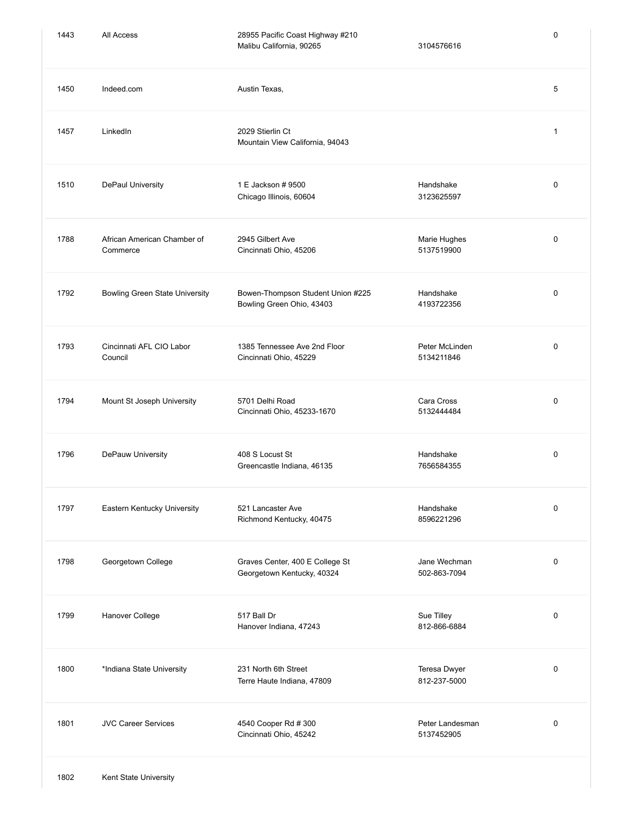| 1443 | All Access                              | 28955 Pacific Coast Highway #210<br>Malibu California, 90265   | 3104576616                    | $\mathbf 0$ |
|------|-----------------------------------------|----------------------------------------------------------------|-------------------------------|-------------|
| 1450 | Indeed.com                              | Austin Texas,                                                  |                               | 5           |
| 1457 | LinkedIn                                | 2029 Stierlin Ct<br>Mountain View California, 94043            |                               | 1           |
| 1510 | DePaul University                       | 1 E Jackson # 9500<br>Chicago Illinois, 60604                  | Handshake<br>3123625597       | $\mathbf 0$ |
| 1788 | African American Chamber of<br>Commerce | 2945 Gilbert Ave<br>Cincinnati Ohio, 45206                     | Marie Hughes<br>5137519900    | 0           |
| 1792 | <b>Bowling Green State University</b>   | Bowen-Thompson Student Union #225<br>Bowling Green Ohio, 43403 | Handshake<br>4193722356       | $\mathbf 0$ |
| 1793 | Cincinnati AFL CIO Labor<br>Council     | 1385 Tennessee Ave 2nd Floor<br>Cincinnati Ohio, 45229         | Peter McLinden<br>5134211846  | $\mathbf 0$ |
| 1794 | Mount St Joseph University              | 5701 Delhi Road<br>Cincinnati Ohio, 45233-1670                 | Cara Cross<br>5132444484      | $\mathbf 0$ |
| 1796 | DePauw University                       | 408 S Locust St<br>Greencastle Indiana, 46135                  | Handshake<br>7656584355       | $\mathbf 0$ |
| 1797 | Eastern Kentucky University             | 521 Lancaster Ave<br>Richmond Kentucky, 40475                  | Handshake<br>8596221296       | $\mathbf 0$ |
| 1798 | Georgetown College                      | Graves Center, 400 E College St<br>Georgetown Kentucky, 40324  | Jane Wechman<br>502-863-7094  | $\mathbf 0$ |
| 1799 | Hanover College                         | 517 Ball Dr<br>Hanover Indiana, 47243                          | Sue Tilley<br>812-866-6884    | $\mathbf 0$ |
| 1800 | *Indiana State University               | 231 North 6th Street<br>Terre Haute Indiana, 47809             | Teresa Dwyer<br>812-237-5000  | $\mathbf 0$ |
| 1801 | <b>JVC Career Services</b>              | 4540 Cooper Rd # 300<br>Cincinnati Ohio, 45242                 | Peter Landesman<br>5137452905 | $\mathbf 0$ |
|      |                                         |                                                                |                               |             |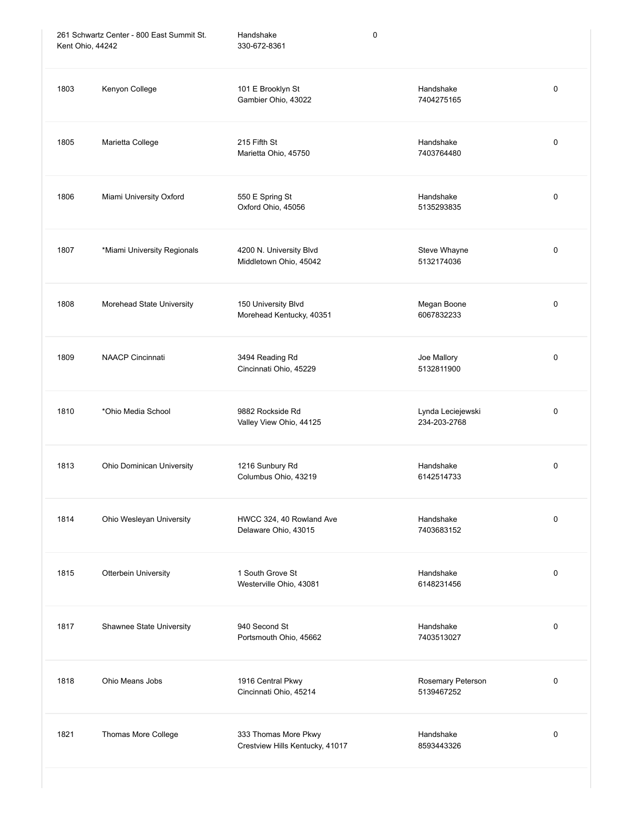| 261 Schwartz Center - 800 East Summit St.<br>Kent Ohio, 44242 |                             | Handshake<br>330-672-8361                               | 0                                 |           |
|---------------------------------------------------------------|-----------------------------|---------------------------------------------------------|-----------------------------------|-----------|
| 1803                                                          | Kenyon College              | 101 E Brooklyn St<br>Gambier Ohio, 43022                | Handshake<br>7404275165           | 0         |
| 1805                                                          | Marietta College            | 215 Fifth St<br>Marietta Ohio, 45750                    | Handshake<br>7403764480           | 0         |
| 1806                                                          | Miami University Oxford     | 550 E Spring St<br>Oxford Ohio, 45056                   | Handshake<br>5135293835           | 0         |
| 1807                                                          | *Miami University Regionals | 4200 N. University Blvd<br>Middletown Ohio, 45042       | Steve Whayne<br>5132174036        | 0         |
| 1808                                                          | Morehead State University   | 150 University Blvd<br>Morehead Kentucky, 40351         | Megan Boone<br>6067832233         | 0         |
| 1809                                                          | <b>NAACP Cincinnati</b>     | 3494 Reading Rd<br>Cincinnati Ohio, 45229               | Joe Mallory<br>5132811900         | 0         |
| 1810                                                          | *Ohio Media School          | 9882 Rockside Rd<br>Valley View Ohio, 44125             | Lynda Leciejewski<br>234-203-2768 | 0         |
| 1813                                                          | Ohio Dominican University   | 1216 Sunbury Rd<br>Columbus Ohio, 43219                 | Handshake<br>6142514733           | $\pmb{0}$ |
| 1814                                                          | Ohio Wesleyan University    | HWCC 324, 40 Rowland Ave<br>Delaware Ohio, 43015        | Handshake<br>7403683152           | 0         |
| 1815                                                          | Otterbein University        | 1 South Grove St<br>Westerville Ohio, 43081             | Handshake<br>6148231456           | 0         |
| 1817                                                          | Shawnee State University    | 940 Second St<br>Portsmouth Ohio, 45662                 | Handshake<br>7403513027           | 0         |
| 1818                                                          | Ohio Means Jobs             | 1916 Central Pkwy<br>Cincinnati Ohio, 45214             | Rosemary Peterson<br>5139467252   | 0         |
| 1821                                                          | Thomas More College         | 333 Thomas More Pkwy<br>Crestview Hills Kentucky, 41017 | Handshake<br>8593443326           | 0         |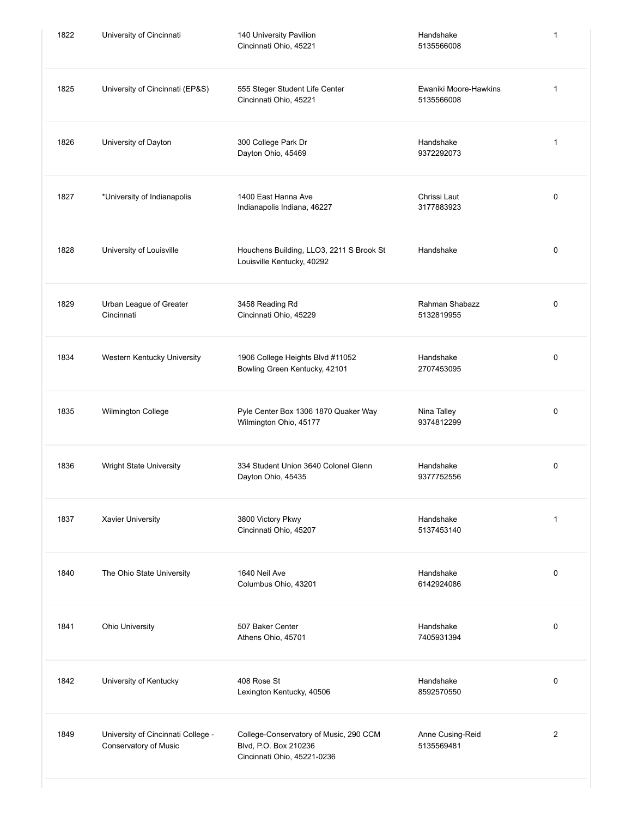| 1822 | University of Cincinnati<br>140 University Pavilion<br>Cincinnati Ohio, 45221 |                                                                                                | Handshake<br>5135566008             | 1              |
|------|-------------------------------------------------------------------------------|------------------------------------------------------------------------------------------------|-------------------------------------|----------------|
| 1825 | University of Cincinnati (EP&S)                                               | 555 Steger Student Life Center<br>Cincinnati Ohio, 45221                                       | Ewaniki Moore-Hawkins<br>5135566008 | 1              |
| 1826 | University of Dayton                                                          | 300 College Park Dr<br>Dayton Ohio, 45469                                                      | Handshake<br>9372292073             | 1              |
| 1827 | *University of Indianapolis                                                   | 1400 East Hanna Ave<br>Indianapolis Indiana, 46227                                             | Chrissi Laut<br>3177883923          | 0              |
| 1828 | University of Louisville                                                      | Houchens Building, LLO3, 2211 S Brook St<br>Louisville Kentucky, 40292                         | Handshake                           | 0              |
| 1829 | Urban League of Greater<br>Cincinnati                                         | 3458 Reading Rd<br>Cincinnati Ohio, 45229                                                      | Rahman Shabazz<br>5132819955        | 0              |
| 1834 | Western Kentucky University                                                   | 1906 College Heights Blvd #11052<br>Bowling Green Kentucky, 42101                              | Handshake<br>2707453095             | 0              |
| 1835 | Wilmington College                                                            | Pyle Center Box 1306 1870 Quaker Way<br>Wilmington Ohio, 45177                                 | Nina Talley<br>9374812299           | 0              |
| 1836 | Wright State University                                                       | 334 Student Union 3640 Colonel Glenn<br>Dayton Ohio, 45435                                     | Handshake<br>9377752556             | 0              |
| 1837 | <b>Xavier University</b>                                                      | 3800 Victory Pkwy<br>Cincinnati Ohio, 45207                                                    | Handshake<br>5137453140             | 1              |
| 1840 | The Ohio State University                                                     | 1640 Neil Ave<br>Columbus Ohio, 43201                                                          | Handshake<br>6142924086             | $\pmb{0}$      |
| 1841 | Ohio University                                                               | 507 Baker Center<br>Athens Ohio, 45701                                                         | Handshake<br>7405931394             | 0              |
| 1842 | University of Kentucky                                                        | 408 Rose St<br>Lexington Kentucky, 40506                                                       | Handshake<br>8592570550             | 0              |
| 1849 | University of Cincinnati College -<br>Conservatory of Music                   | College-Conservatory of Music, 290 CCM<br>Blvd, P.O. Box 210236<br>Cincinnati Ohio, 45221-0236 | Anne Cusing-Reid<br>5135569481      | $\overline{2}$ |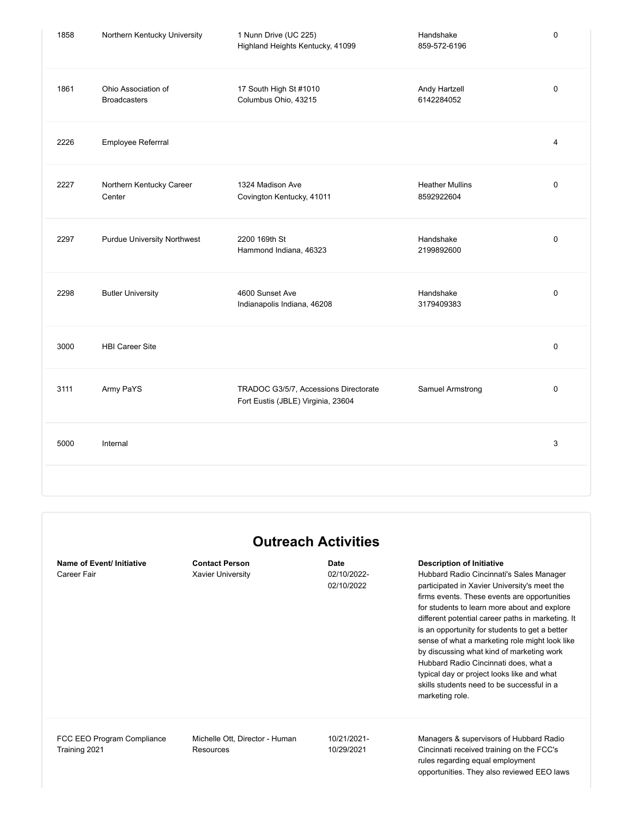| 1858 | Northern Kentucky University               | 1 Nunn Drive (UC 225)<br>Highland Heights Kentucky, 41099                   | Handshake<br>859-572-6196            | $\mathbf 0$ |
|------|--------------------------------------------|-----------------------------------------------------------------------------|--------------------------------------|-------------|
| 1861 | Ohio Association of<br><b>Broadcasters</b> | 17 South High St #1010<br>Columbus Ohio, 43215                              | Andy Hartzell<br>6142284052          | $\pmb{0}$   |
| 2226 | Employee Referrral                         |                                                                             |                                      | 4           |
| 2227 | Northern Kentucky Career<br>Center         | 1324 Madison Ave<br>Covington Kentucky, 41011                               | <b>Heather Mullins</b><br>8592922604 | $\pmb{0}$   |
| 2297 | <b>Purdue University Northwest</b>         | 2200 169th St<br>Hammond Indiana, 46323                                     | Handshake<br>2199892600              | $\mathbf 0$ |
| 2298 | <b>Butler University</b>                   | 4600 Sunset Ave<br>Indianapolis Indiana, 46208                              | Handshake<br>3179409383              | $\mathbf 0$ |
| 3000 | <b>HBI Career Site</b>                     |                                                                             |                                      | $\mathbf 0$ |
| 3111 | Army PaYS                                  | TRADOC G3/5/7, Accessions Directorate<br>Fort Eustis (JBLE) Virginia, 23604 | Samuel Armstrong                     | $\mathbf 0$ |
| 5000 | Internal                                   |                                                                             |                                      | 3           |
|      |                                            |                                                                             |                                      |             |

## **Outreach Activities Name of Event/ Initiative Contact Person Date Description of Initiative** Career Fair **Career Fair** Xavier University **Career Fair** 02/10/2022-02/10/2022 Hubbard Radio Cincinnati's Sales Manager participated in Xavier University's meet the firms events. These events are opportunities for students to learn more about and explore different potential career paths in marketing. It is an opportunity for students to get a better sense of what a marketing role might look like by discussing what kind of marketing work Hubbard Radio Cincinnati does, what a typical day or project looks like and what skills students need to be successful in a marketing role. FCC EEO Program Compliance Training 2021 Michelle Ott, Director - Human Resources 10/21/2021- 10/29/2021 Managers & supervisors of Hubbard Radio Cincinnati received training on the FCC's rules regarding equal employment opportunities. They also reviewed EEO laws